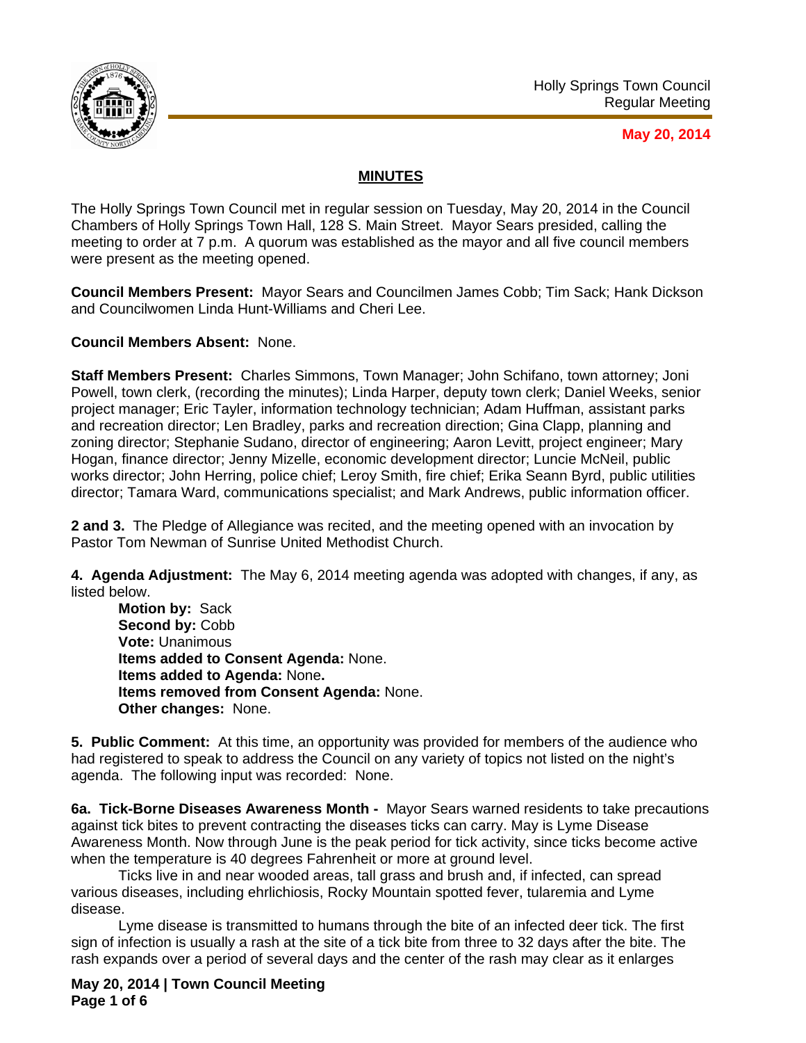

## **May 20, 2014**

## **MINUTES**

The Holly Springs Town Council met in regular session on Tuesday, May 20, 2014 in the Council Chambers of Holly Springs Town Hall, 128 S. Main Street. Mayor Sears presided, calling the meeting to order at 7 p.m. A quorum was established as the mayor and all five council members were present as the meeting opened.

**Council Members Present:** Mayor Sears and Councilmen James Cobb; Tim Sack; Hank Dickson and Councilwomen Linda Hunt-Williams and Cheri Lee.

**Council Members Absent:** None.

**Staff Members Present:** Charles Simmons, Town Manager; John Schifano, town attorney; Joni Powell, town clerk, (recording the minutes); Linda Harper, deputy town clerk; Daniel Weeks, senior project manager; Eric Tayler, information technology technician; Adam Huffman, assistant parks and recreation director; Len Bradley, parks and recreation direction; Gina Clapp, planning and zoning director; Stephanie Sudano, director of engineering; Aaron Levitt, project engineer; Mary Hogan, finance director; Jenny Mizelle, economic development director; Luncie McNeil, public works director; John Herring, police chief; Leroy Smith, fire chief; Erika Seann Byrd, public utilities director; Tamara Ward, communications specialist; and Mark Andrews, public information officer.

**2 and 3.** The Pledge of Allegiance was recited, and the meeting opened with an invocation by Pastor Tom Newman of Sunrise United Methodist Church.

**4. Agenda Adjustment:** The May 6, 2014 meeting agenda was adopted with changes, if any, as listed below.

**Motion by:** Sack Second by: Cobb **Vote:** Unanimous **Items added to Consent Agenda:** None.  **Items added to Agenda:** None**. Items removed from Consent Agenda:** None.  **Other changes:** None.

**5. Public Comment:** At this time, an opportunity was provided for members of the audience who had registered to speak to address the Council on any variety of topics not listed on the night's agenda. The following input was recorded: None.

**6a. Tick-Borne Diseases Awareness Month -** Mayor Sears warned residents to take precautions against tick bites to prevent contracting the diseases ticks can carry. May is Lyme Disease Awareness Month. Now through June is the peak period for tick activity, since ticks become active when the temperature is 40 degrees Fahrenheit or more at ground level.

 Ticks live in and near wooded areas, tall grass and brush and, if infected, can spread various diseases, including ehrlichiosis, Rocky Mountain spotted fever, tularemia and Lyme disease.

 Lyme disease is transmitted to humans through the bite of an infected deer tick. The first sign of infection is usually a rash at the site of a tick bite from three to 32 days after the bite. The rash expands over a period of several days and the center of the rash may clear as it enlarges

**May 20, 2014 | Town Council Meeting Page 1 of 6**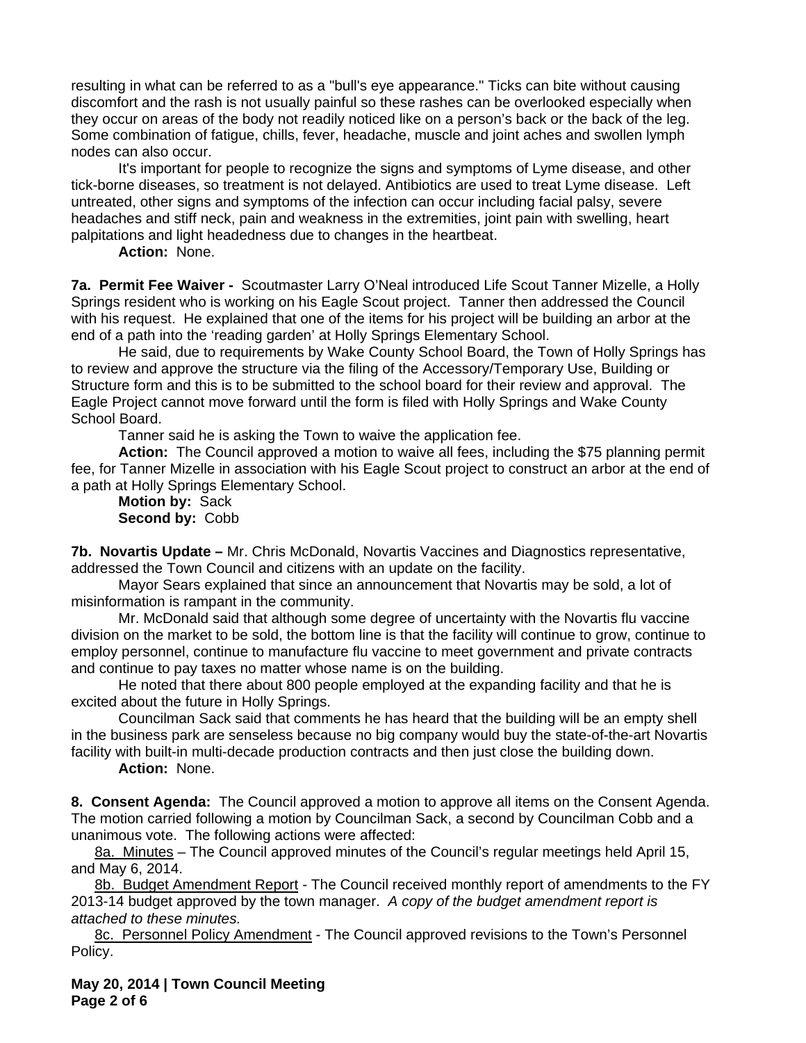resulting in what can be referred to as a "bull's eye appearance." Ticks can bite without causing discomfort and the rash is not usually painful so these rashes can be overlooked especially when they occur on areas of the body not readily noticed like on a person's back or the back of the leg. Some combination of fatigue, chills, fever, headache, muscle and joint aches and swollen lymph nodes can also occur.

 It's important for people to recognize the signs and symptoms of Lyme disease, and other tick-borne diseases, so treatment is not delayed. Antibiotics are used to treat Lyme disease. Left untreated, other signs and symptoms of the infection can occur including facial palsy, severe headaches and stiff neck, pain and weakness in the extremities, joint pain with swelling, heart palpitations and light headedness due to changes in the heartbeat.

 **Action:** None.

**7a. Permit Fee Waiver -** Scoutmaster Larry O'Neal introduced Life Scout Tanner Mizelle, a Holly Springs resident who is working on his Eagle Scout project. Tanner then addressed the Council with his request. He explained that one of the items for his project will be building an arbor at the end of a path into the 'reading garden' at Holly Springs Elementary School.

 He said, due to requirements by Wake County School Board, the Town of Holly Springs has to review and approve the structure via the filing of the Accessory/Temporary Use, Building or Structure form and this is to be submitted to the school board for their review and approval. The Eagle Project cannot move forward until the form is filed with Holly Springs and Wake County School Board.

Tanner said he is asking the Town to waive the application fee.

 **Action:** The Council approved a motion to waive all fees, including the \$75 planning permit fee, for Tanner Mizelle in association with his Eagle Scout project to construct an arbor at the end of a path at Holly Springs Elementary School.

**Motion by:** Sack **Second by:** Cobb

**7b. Novartis Update –** Mr. Chris McDonald, Novartis Vaccines and Diagnostics representative, addressed the Town Council and citizens with an update on the facility.

 Mayor Sears explained that since an announcement that Novartis may be sold, a lot of misinformation is rampant in the community.

 Mr. McDonald said that although some degree of uncertainty with the Novartis flu vaccine division on the market to be sold, the bottom line is that the facility will continue to grow, continue to employ personnel, continue to manufacture flu vaccine to meet government and private contracts and continue to pay taxes no matter whose name is on the building.

 He noted that there about 800 people employed at the expanding facility and that he is excited about the future in Holly Springs.

 Councilman Sack said that comments he has heard that the building will be an empty shell in the business park are senseless because no big company would buy the state-of-the-art Novartis facility with built-in multi-decade production contracts and then just close the building down.

**Action:** None.

**8. Consent Agenda:** The Council approved a motion to approve all items on the Consent Agenda. The motion carried following a motion by Councilman Sack, a second by Councilman Cobb and a unanimous vote. The following actions were affected:

8a. Minutes – The Council approved minutes of the Council's regular meetings held April 15, and May 6, 2014.

8b. Budget Amendment Report - The Council received monthly report of amendments to the FY 2013-14 budget approved by the town manager. *A copy of the budget amendment report is attached to these minutes.*

8c. Personnel Policy Amendment - The Council approved revisions to the Town's Personnel Policy.

**May 20, 2014 | Town Council Meeting Page 2 of 6**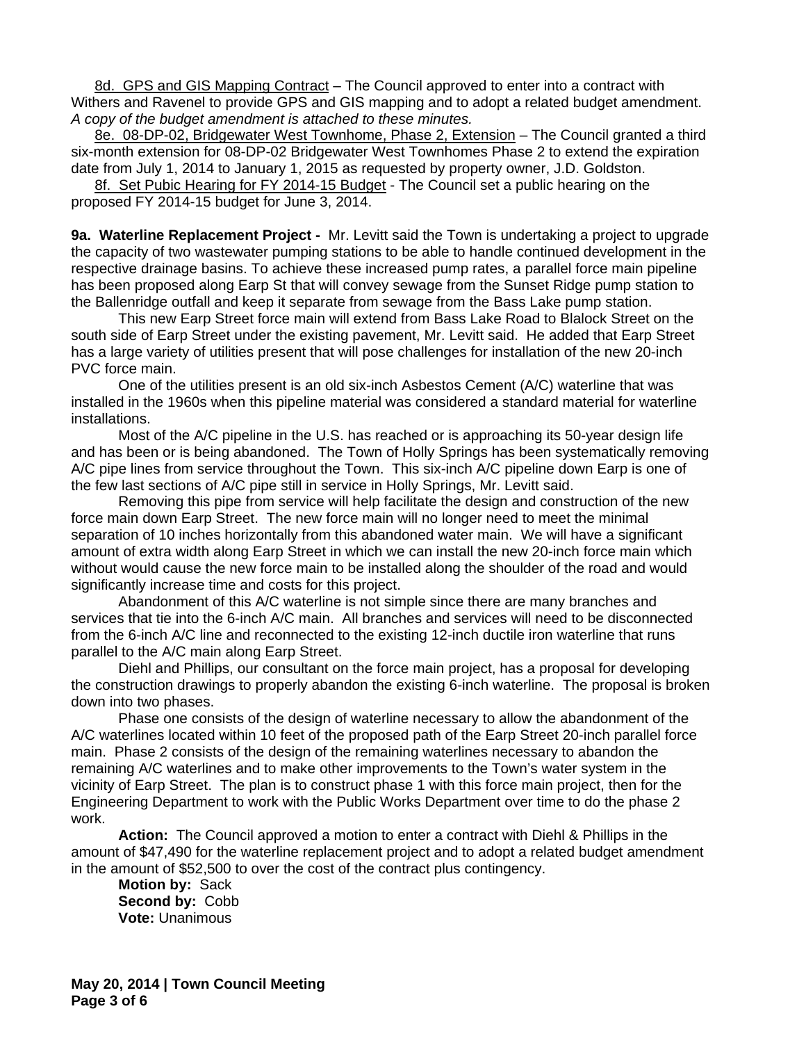8d. GPS and GIS Mapping Contract – The Council approved to enter into a contract with Withers and Ravenel to provide GPS and GIS mapping and to adopt a related budget amendment. *A copy of the budget amendment is attached to these minutes.*

8e. 08-DP-02, Bridgewater West Townhome, Phase 2, Extension – The Council granted a third six-month extension for 08-DP-02 Bridgewater West Townhomes Phase 2 to extend the expiration date from July 1, 2014 to January 1, 2015 as requested by property owner, J.D. Goldston.

8f. Set Pubic Hearing for FY 2014-15 Budget - The Council set a public hearing on the proposed FY 2014-15 budget for June 3, 2014.

**9a. Waterline Replacement Project -** Mr. Levitt said the Town is undertaking a project to upgrade the capacity of two wastewater pumping stations to be able to handle continued development in the respective drainage basins. To achieve these increased pump rates, a parallel force main pipeline has been proposed along Earp St that will convey sewage from the Sunset Ridge pump station to the Ballenridge outfall and keep it separate from sewage from the Bass Lake pump station.

 This new Earp Street force main will extend from Bass Lake Road to Blalock Street on the south side of Earp Street under the existing pavement, Mr. Levitt said. He added that Earp Street has a large variety of utilities present that will pose challenges for installation of the new 20-inch PVC force main.

 One of the utilities present is an old six-inch Asbestos Cement (A/C) waterline that was installed in the 1960s when this pipeline material was considered a standard material for waterline installations.

 Most of the A/C pipeline in the U.S. has reached or is approaching its 50-year design life and has been or is being abandoned. The Town of Holly Springs has been systematically removing A/C pipe lines from service throughout the Town. This six-inch A/C pipeline down Earp is one of the few last sections of A/C pipe still in service in Holly Springs, Mr. Levitt said.

 Removing this pipe from service will help facilitate the design and construction of the new force main down Earp Street. The new force main will no longer need to meet the minimal separation of 10 inches horizontally from this abandoned water main. We will have a significant amount of extra width along Earp Street in which we can install the new 20-inch force main which without would cause the new force main to be installed along the shoulder of the road and would significantly increase time and costs for this project.

 Abandonment of this A/C waterline is not simple since there are many branches and services that tie into the 6-inch A/C main. All branches and services will need to be disconnected from the 6-inch A/C line and reconnected to the existing 12-inch ductile iron waterline that runs parallel to the A/C main along Earp Street.

 Diehl and Phillips, our consultant on the force main project, has a proposal for developing the construction drawings to properly abandon the existing 6-inch waterline. The proposal is broken down into two phases.

 Phase one consists of the design of waterline necessary to allow the abandonment of the A/C waterlines located within 10 feet of the proposed path of the Earp Street 20-inch parallel force main. Phase 2 consists of the design of the remaining waterlines necessary to abandon the remaining A/C waterlines and to make other improvements to the Town's water system in the vicinity of Earp Street. The plan is to construct phase 1 with this force main project, then for the Engineering Department to work with the Public Works Department over time to do the phase 2 work.

**Action:** The Council approved a motion to enter a contract with Diehl & Phillips in the amount of \$47,490 for the waterline replacement project and to adopt a related budget amendment in the amount of \$52,500 to over the cost of the contract plus contingency.

**Motion by:** Sack **Second by:** Cobb **Vote:** Unanimous

**May 20, 2014 | Town Council Meeting Page 3 of 6**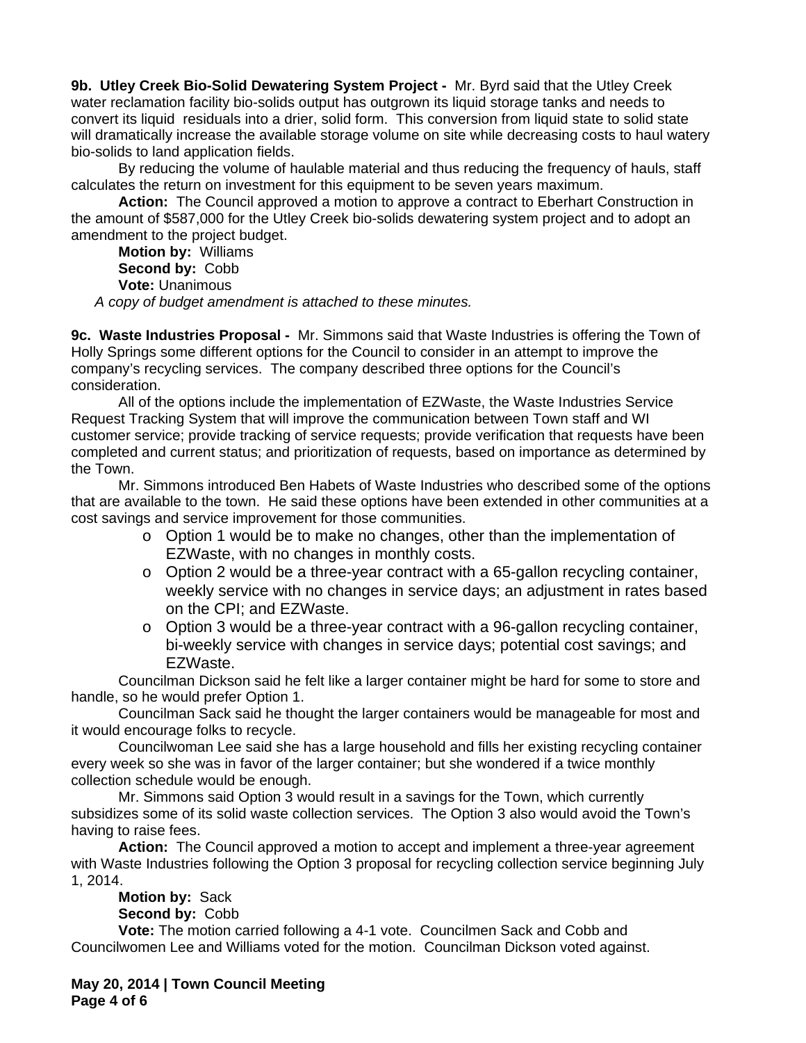**9b. Utley Creek Bio-Solid Dewatering System Project -** Mr. Byrd said that the Utley Creek water reclamation facility bio-solids output has outgrown its liquid storage tanks and needs to convert its liquid residuals into a drier, solid form. This conversion from liquid state to solid state will dramatically increase the available storage volume on site while decreasing costs to haul watery bio-solids to land application fields.

 By reducing the volume of haulable material and thus reducing the frequency of hauls, staff calculates the return on investment for this equipment to be seven years maximum.

**Action:** The Council approved a motion to approve a contract to Eberhart Construction in the amount of \$587,000 for the Utley Creek bio-solids dewatering system project and to adopt an amendment to the project budget.

**Motion by:** Williams **Second by:** Cobb **Vote:** Unanimous *A copy of budget amendment is attached to these minutes.*

**9c. Waste Industries Proposal -** Mr. Simmons said that Waste Industries is offering the Town of Holly Springs some different options for the Council to consider in an attempt to improve the company's recycling services. The company described three options for the Council's consideration.

 All of the options include the implementation of EZWaste, the Waste Industries Service Request Tracking System that will improve the communication between Town staff and WI customer service; provide tracking of service requests; provide verification that requests have been completed and current status; and prioritization of requests, based on importance as determined by the Town.

 Mr. Simmons introduced Ben Habets of Waste Industries who described some of the options that are available to the town. He said these options have been extended in other communities at a cost savings and service improvement for those communities.

- o Option 1 would be to make no changes, other than the implementation of EZWaste, with no changes in monthly costs.
- o Option 2 would be a three-year contract with a 65-gallon recycling container, weekly service with no changes in service days; an adjustment in rates based on the CPI; and EZWaste.
- o Option 3 would be a three-year contract with a 96-gallon recycling container, bi-weekly service with changes in service days; potential cost savings; and EZWaste.

 Councilman Dickson said he felt like a larger container might be hard for some to store and handle, so he would prefer Option 1.

 Councilman Sack said he thought the larger containers would be manageable for most and it would encourage folks to recycle.

 Councilwoman Lee said she has a large household and fills her existing recycling container every week so she was in favor of the larger container; but she wondered if a twice monthly collection schedule would be enough.

 Mr. Simmons said Option 3 would result in a savings for the Town, which currently subsidizes some of its solid waste collection services. The Option 3 also would avoid the Town's having to raise fees.

**Action:** The Council approved a motion to accept and implement a three-year agreement with Waste Industries following the Option 3 proposal for recycling collection service beginning July 1, 2014.

**Motion by:** Sack

**Second by:** Cobb

**Vote:** The motion carried following a 4-1 vote. Councilmen Sack and Cobb and Councilwomen Lee and Williams voted for the motion. Councilman Dickson voted against.

**May 20, 2014 | Town Council Meeting Page 4 of 6**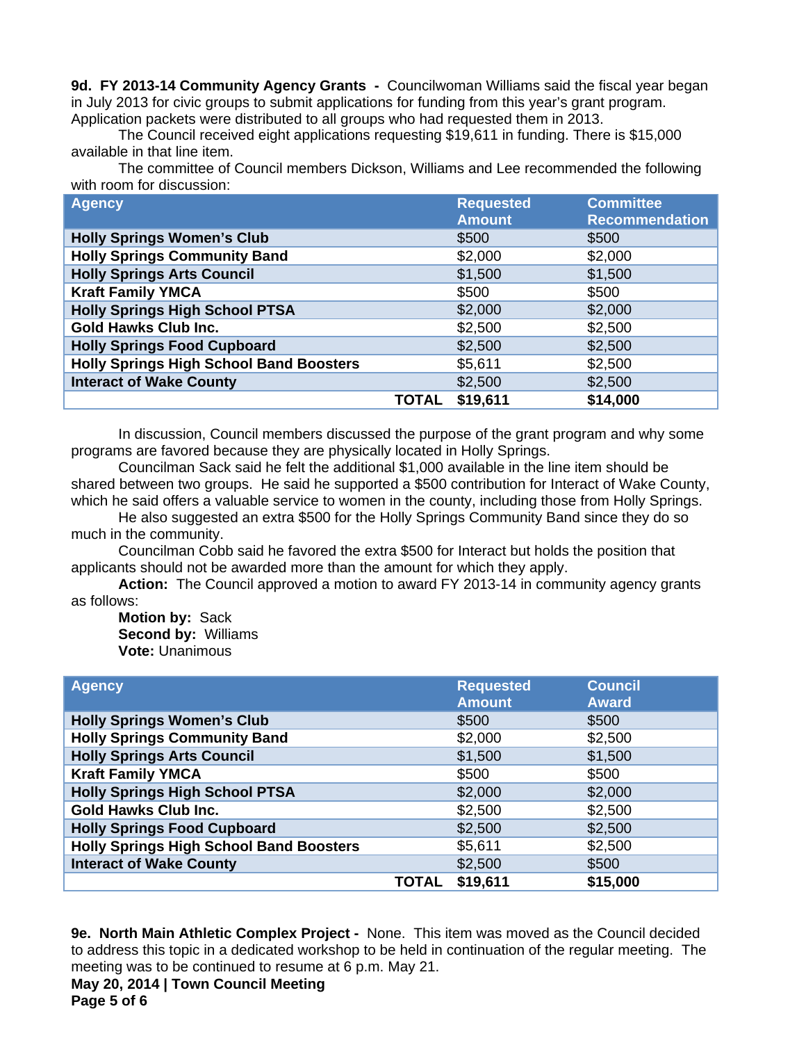**9d. FY 2013-14 Community Agency Grants -** Councilwoman Williams said the fiscal year began in July 2013 for civic groups to submit applications for funding from this year's grant program. Application packets were distributed to all groups who had requested them in 2013.

 The Council received eight applications requesting \$19,611 in funding. There is \$15,000 available in that line item.

 The committee of Council members Dickson, Williams and Lee recommended the following with room for discussion:

| <b>Agency</b>                                  |       | <b>Requested</b><br><b>Amount</b> | <b>Committee</b><br><b>Recommendation</b> |
|------------------------------------------------|-------|-----------------------------------|-------------------------------------------|
| <b>Holly Springs Women's Club</b>              |       | \$500                             | \$500                                     |
| <b>Holly Springs Community Band</b>            |       | \$2,000                           | \$2,000                                   |
| <b>Holly Springs Arts Council</b>              |       | \$1,500                           | \$1,500                                   |
| <b>Kraft Family YMCA</b>                       |       | \$500                             | \$500                                     |
| <b>Holly Springs High School PTSA</b>          |       | \$2,000                           | \$2,000                                   |
| <b>Gold Hawks Club Inc.</b>                    |       | \$2,500                           | \$2,500                                   |
| <b>Holly Springs Food Cupboard</b>             |       | \$2,500                           | \$2,500                                   |
| <b>Holly Springs High School Band Boosters</b> |       | \$5,611                           | \$2,500                                   |
| <b>Interact of Wake County</b>                 |       | \$2,500                           | \$2,500                                   |
|                                                | TOTAL | \$19,611                          | \$14,000                                  |

In discussion, Council members discussed the purpose of the grant program and why some programs are favored because they are physically located in Holly Springs.

Councilman Sack said he felt the additional \$1,000 available in the line item should be shared between two groups. He said he supported a \$500 contribution for Interact of Wake County, which he said offers a valuable service to women in the county, including those from Holly Springs.

He also suggested an extra \$500 for the Holly Springs Community Band since they do so much in the community.

Councilman Cobb said he favored the extra \$500 for Interact but holds the position that applicants should not be awarded more than the amount for which they apply.

**Action:** The Council approved a motion to award FY 2013-14 in community agency grants as follows:

**Motion by:** Sack **Second by:** Williams **Vote:** Unanimous

| <b>Agency</b>                                  |              | <b>Requested</b><br><b>Amount</b> | <b>Council</b><br><b>Award</b> |
|------------------------------------------------|--------------|-----------------------------------|--------------------------------|
| <b>Holly Springs Women's Club</b>              |              | \$500                             | \$500                          |
| <b>Holly Springs Community Band</b>            |              | \$2,000                           | \$2,500                        |
| <b>Holly Springs Arts Council</b>              |              | \$1,500                           | \$1,500                        |
| <b>Kraft Family YMCA</b>                       |              | \$500                             | \$500                          |
| <b>Holly Springs High School PTSA</b>          |              | \$2,000                           | \$2,000                        |
| <b>Gold Hawks Club Inc.</b>                    |              | \$2,500                           | \$2,500                        |
| <b>Holly Springs Food Cupboard</b>             |              | \$2,500                           | \$2,500                        |
| <b>Holly Springs High School Band Boosters</b> |              | \$5,611                           | \$2,500                        |
| <b>Interact of Wake County</b>                 |              | \$2,500                           | \$500                          |
|                                                | <b>TOTAL</b> | \$19,611                          | \$15,000                       |

**9e. North Main Athletic Complex Project -** None. This item was moved as the Council decided to address this topic in a dedicated workshop to be held in continuation of the regular meeting. The meeting was to be continued to resume at 6 p.m. May 21.